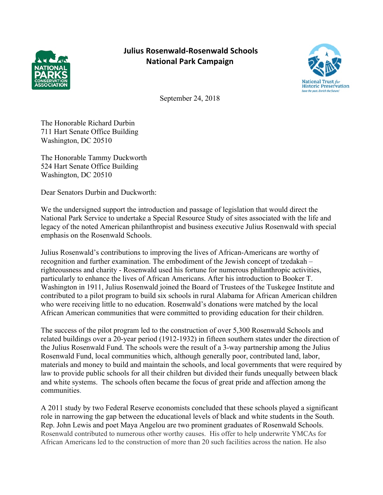

## **Julius Rosenwald-Rosenwald Schools National Park Campaign**



September 24, 2018

The Honorable Richard Durbin 711 Hart Senate Office Building Washington, DC 20510

The Honorable Tammy Duckworth 524 Hart Senate Office Building Washington, DC 20510

Dear Senators Durbin and Duckworth:

We the undersigned support the introduction and passage of legislation that would direct the National Park Service to undertake a Special Resource Study of sites associated with the life and legacy of the noted American philanthropist and business executive Julius Rosenwald with special emphasis on the Rosenwald Schools.

Julius Rosenwald's contributions to improving the lives of African-Americans are worthy of recognition and further examination. The embodiment of the Jewish concept of tzedakah – righteousness and charity - Rosenwald used his fortune for numerous philanthropic activities, particularly to enhance the lives of African Americans. After his introduction to Booker T. Washington in 1911, Julius Rosenwald joined the Board of Trustees of the Tuskegee Institute and contributed to a pilot program to build six schools in rural Alabama for African American children who were receiving little to no education. Rosenwald's donations were matched by the local African American communities that were committed to providing education for their children.

The success of the pilot program led to the construction of over 5,300 Rosenwald Schools and related buildings over a 20-year period (1912-1932) in fifteen southern states under the direction of the Julius Rosenwald Fund. The schools were the result of a 3-way partnership among the Julius Rosenwald Fund, local communities which, although generally poor, contributed land, labor, materials and money to build and maintain the schools, and local governments that were required by law to provide public schools for all their children but divided their funds unequally between black and white systems. The schools often became the focus of great pride and affection among the communities.

A 2011 study by two Federal Reserve economists concluded that these schools played a significant role in narrowing the gap between the educational levels of black and white students in the South. Rep. John Lewis and poet Maya Angelou are two prominent graduates of Rosenwald Schools. Rosenwald contributed to numerous other worthy causes. His offer to help underwrite YMCAs for African Americans led to the construction of more than 20 such facilities across the nation. He also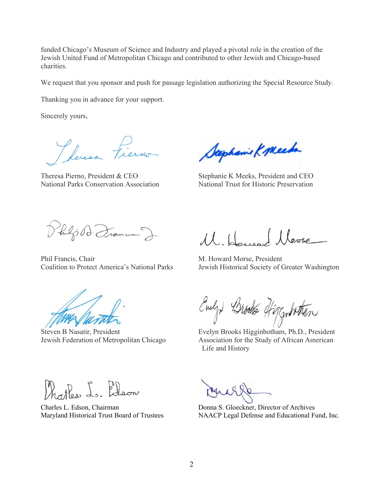funded Chicago's Museum of Science and Industry and played a pivotal role in the creation of the Jewish United Fund of Metropolitan Chicago and contributed to other Jewish and Chicago-based charities.

We request that you sponsor and push for passage legislation authorizing the Special Resource Study.

Thanking you in advance for your support.

Sincerely yours,

Pleresa Fierno

National Parks Conservation Association National Trust for Historic Preservation

Stephanie K Meets

Theresa Pierno, President & CEO Stephanie K Meeks, President and CEO

hilp D. France J

Phil Francis, Chair **M. Howard Morse**, President

11, House Move

Coalition to Protect America's National Parks Jewish Historical Society of Greater Washington

Evelyd Brooks Higgenbotton

Steven B Nasatir, President Evelyn Brooks Higginbotham, Ph.D., President Jewish Federation of Metropolitan Chicago Association for the Study of African American Life and History

hatter L. Elson

Charles L. Edson, Chairman Donna S. Gloeckner, Director of Archives

Maryland Historical Trust Board of Trustees NAACP Legal Defense and Educational Fund, Inc.